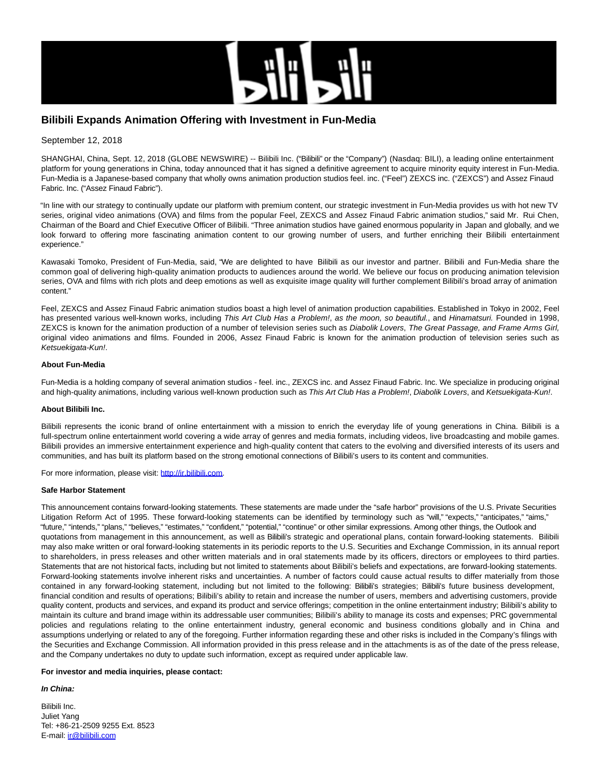

# **Bilibili Expands Animation Offering with Investment in Fun-Media**

## September 12, 2018

SHANGHAI, China, Sept. 12, 2018 (GLOBE NEWSWIRE) -- Bilibili Inc. ("Bilibili" or the "Company") (Nasdaq: BILI), a leading online entertainment platform for young generations in China, today announced that it has signed a definitive agreement to acquire minority equity interest in Fun-Media. Fun-Media is a Japanese-based company that wholly owns animation production studios feel. inc. ("Feel") ZEXCS inc. ("ZEXCS") and Assez Finaud Fabric. Inc. ("Assez Finaud Fabric").

"In line with our strategy to continually update our platform with premium content, our strategic investment in Fun-Media provides us with hot new TV series, original video animations (OVA) and films from the popular Feel, ZEXCS and Assez Finaud Fabric animation studios," said Mr. Rui Chen, Chairman of the Board and Chief Executive Officer of Bilibili. "Three animation studios have gained enormous popularity in Japan and globally, and we look forward to offering more fascinating animation content to our growing number of users, and further enriching their Bilibili entertainment experience."

Kawasaki Tomoko, President of Fun-Media, said, "We are delighted to have Bilibili as our investor and partner. Bilibili and Fun-Media share the common goal of delivering high-quality animation products to audiences around the world. We believe our focus on producing animation television series, OVA and films with rich plots and deep emotions as well as exquisite image quality will further complement Bilibili's broad array of animation content."

Feel, ZEXCS and Assez Finaud Fabric animation studios boast a high level of animation production capabilities. Established in Tokyo in 2002, Feel has presented various well-known works, including This Art Club Has a Problem!, as the moon, so beautiful., and Hinamatsuri. Founded in 1998, ZEXCS is known for the animation production of a number of television series such as Diabolik Lovers, The Great Passage, and Frame Arms Girl, original video animations and films. Founded in 2006, Assez Finaud Fabric is known for the animation production of television series such as Ketsuekigata-Kun!.

## **About Fun-Media**

Fun-Media is a holding company of several animation studios - feel. inc., ZEXCS inc. and Assez Finaud Fabric. Inc. We specialize in producing original and high-quality animations, including various well-known production such as This Art Club Has a Problem!, Diabolik Lovers, and Ketsuekigata-Kun!.

#### **About Bilibili Inc.**

Bilibili represents the iconic brand of online entertainment with a mission to enrich the everyday life of young generations in China. Bilibili is a full-spectrum online entertainment world covering a wide array of genres and media formats, including videos, live broadcasting and mobile games. Bilibili provides an immersive entertainment experience and high-quality content that caters to the evolving and diversified interests of its users and communities, and has built its platform based on the strong emotional connections of Bilibili's users to its content and communities.

For more information, please visit: [http://ir.bilibili.com.](https://www.globenewswire.com/Tracker?data=YsrBXq_rBvI9jCJlVHcKzuhr8vF9GVuX4FlfUFIh2h2qvkzvrtiA3ESsS8NCAJUGf3YCQyZvLMGJwgrAXlfd7DzNkR_0P3WCc0Qz2kOMcVE=)

#### **Safe Harbor Statement**

This announcement contains forward-looking statements. These statements are made under the "safe harbor" provisions of the U.S. Private Securities Litigation Reform Act of 1995. These forward-looking statements can be identified by terminology such as "will," "expects," "anticipates," "aims," "future," "intends," "plans," "believes," "estimates," "confident," "potential," "continue" or other similar expressions. Among other things, the Outlook and quotations from management in this announcement, as well as Bilibili's strategic and operational plans, contain forward-looking statements. Bilibili may also make written or oral forward-looking statements in its periodic reports to the U.S. Securities and Exchange Commission, in its annual report to shareholders, in press releases and other written materials and in oral statements made by its officers, directors or employees to third parties. Statements that are not historical facts, including but not limited to statements about Bilibili's beliefs and expectations, are forward-looking statements. Forward-looking statements involve inherent risks and uncertainties. A number of factors could cause actual results to differ materially from those contained in any forward-looking statement, including but not limited to the following: Bilibili's strategies; Bilibili's future business development, financial condition and results of operations; Bilibili's ability to retain and increase the number of users, members and advertising customers, provide quality content, products and services, and expand its product and service offerings; competition in the online entertainment industry; Bilibili's ability to maintain its culture and brand image within its addressable user communities; Bilibili's ability to manage its costs and expenses; PRC governmental policies and regulations relating to the online entertainment industry, general economic and business conditions globally and in China and assumptions underlying or related to any of the foregoing. Further information regarding these and other risks is included in the Company's filings with the Securities and Exchange Commission. All information provided in this press release and in the attachments is as of the date of the press release, and the Company undertakes no duty to update such information, except as required under applicable law.

#### **For investor and media inquiries, please contact:**

## **In China:**

Bilibili Inc. Juliet Yang Tel: +86-21-2509 9255 Ext. 8523 E-mail: [ir@bilibili.com](https://www.globenewswire.com/Tracker?data=xWLZKRPoMaZhwWm6mhD1tDoW9l7HripWhT-5ikEuW8_wyH5a5LtSFfKQcr66GNn39XXXBsG-xPxbup-dzbSVpA==)